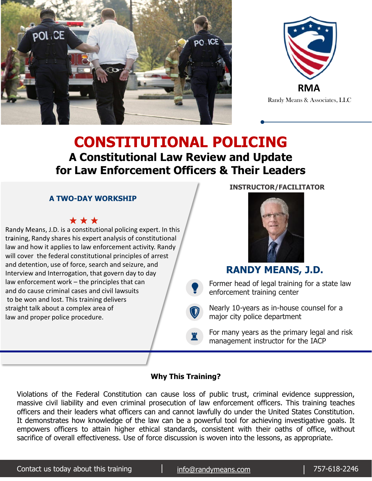



**CONSTITUTIONAL POLICING A Constitutional Law Review and Update for Law Enforcement Officers & Their Leaders** 

### **A TWO-DAY WORKSHIP**

Randy Means, J.D. is a constitutional policing expert. In this training, Randy shares his expert analysis of constitutional . law and how it applies to law enforcement activity. Randy will cover the federal constitutional principles of arrest and detention, use of force, search and seizure, and Interview and Interrogation, that govern day to day law enforcement work – the principles that can and do cause criminal cases and civil lawsuits to be won and lost. This training delivers straight talk about a complex area of law and proper police procedure..



**INSTRUCTOR/FACILITATOR**

### **RANDY MEANS, J.D.**

Former head of legal training for a state law enforcement training center

Nearly 10-years as in-house counsel for a major city police department

For many years as the primary legal and risk management instructor for the IACP

#### **Why This Training?**

 $\bullet$ 

 $\bigcirc$ 

♜

Violations of the Federal Constitution can cause loss of public trust, criminal evidence suppression, massive civil liability and even criminal prosecution of law enforcement officers. This training teaches officers and their leaders what officers can and cannot lawfully do under the United States Constitution. It demonstrates how knowledge of the law can be a powerful tool for achieving investigative goals. It empowers officers to attain higher ethical standards, consistent with their oaths of office, without sacrifice of overall effectiveness. Use of force discussion is woven into the lessons, as appropriate.